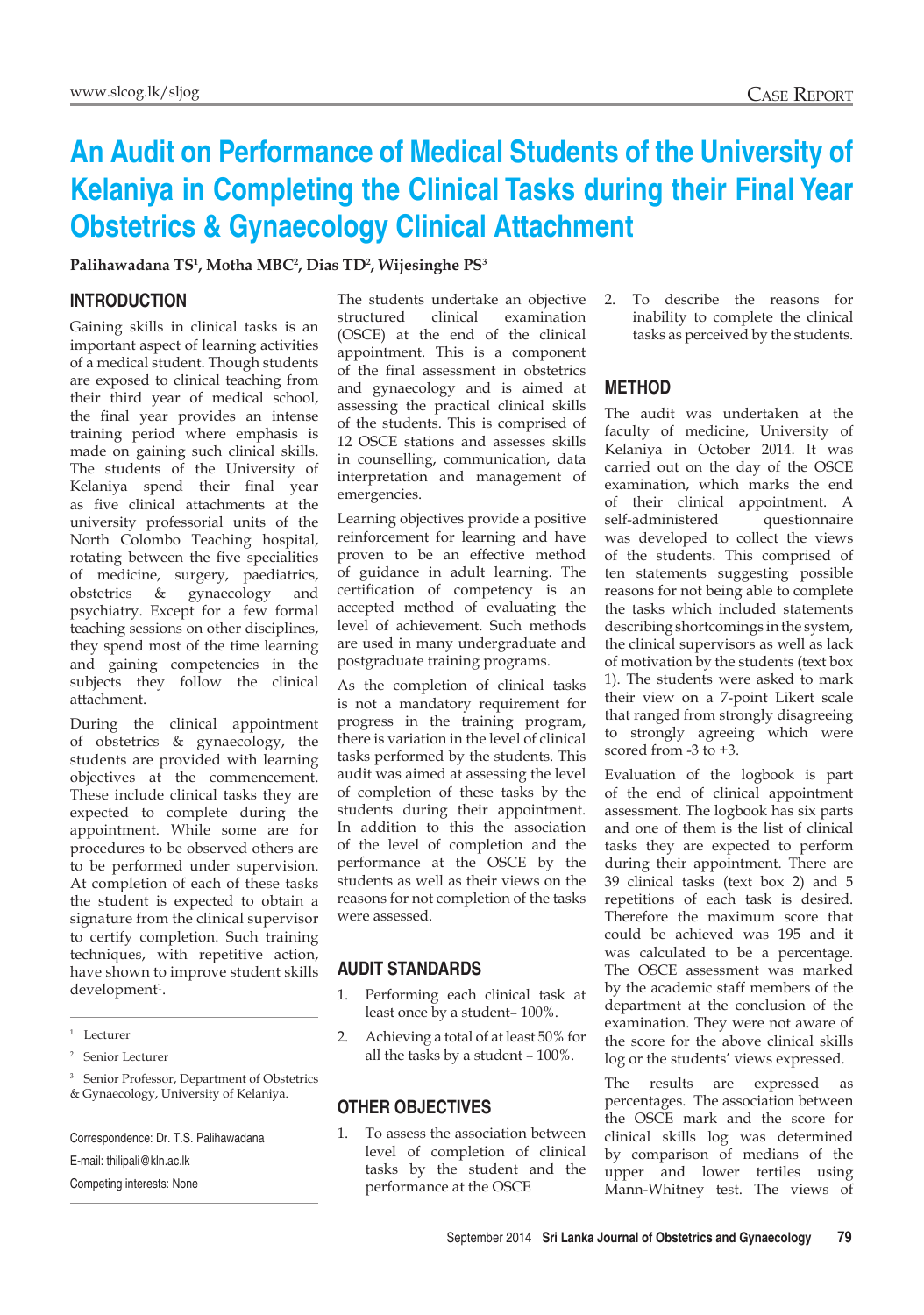# **An Audit on Performance of Medical Students of the University of Kelaniya in Completing the Clinical Tasks during their Final Year Obstetrics & Gynaecology Clinical Attachment**

#### **Palihawadana TS1 , Motha MBC2 , Dias TD2 , Wijesinghe PS3**

## **Introduction**

Gaining skills in clinical tasks is an important aspect of learning activities of a medical student. Though students are exposed to clinical teaching from their third year of medical school, the final year provides an intense training period where emphasis is made on gaining such clinical skills. The students of the University of Kelaniya spend their final year as five clinical attachments at the university professorial units of the North Colombo Teaching hospital, rotating between the five specialities of medicine, surgery, paediatrics, obstetrics & gynaecology and psychiatry. Except for a few formal teaching sessions on other disciplines, they spend most of the time learning and gaining competencies in the subjects they follow the clinical attachment.

During the clinical appointment of obstetrics & gynaecology, the students are provided with learning objectives at the commencement. These include clinical tasks they are expected to complete during the appointment. While some are for procedures to be observed others are to be performed under supervision. At completion of each of these tasks the student is expected to obtain a signature from the clinical supervisor to certify completion. Such training techniques, with repetitive action, have shown to improve student skills development<sup>1</sup>.

<sup>1</sup> Lecturer

<sup>3</sup> Senior Professor, Department of Obstetrics & Gynaecology, University of Kelaniya.

Correspondence: Dr. T.S. Palihawadana

E-mail: thilipali@kln.ac.lk

Competing interests: None

The students undertake an objective structured clinical examination (OSCE) at the end of the clinical appointment. This is a component of the final assessment in obstetrics and gynaecology and is aimed at assessing the practical clinical skills of the students. This is comprised of 12 OSCE stations and assesses skills in counselling, communication, data interpretation and management of emergencies.

Learning objectives provide a positive reinforcement for learning and have proven to be an effective method of guidance in adult learning. The certification of competency is an accepted method of evaluating the level of achievement. Such methods are used in many undergraduate and postgraduate training programs.

As the completion of clinical tasks is not a mandatory requirement for progress in the training program, there is variation in the level of clinical tasks performed by the students. This audit was aimed at assessing the level of completion of these tasks by the students during their appointment. In addition to this the association of the level of completion and the performance at the OSCE by the students as well as their views on the reasons for not completion of the tasks were assessed.

## **Audit standards**

- 1. Performing each clinical task at least once by a student– 100%.
- 2. Achieving a total of at least 50% for all the tasks by a student – 100%.

### **Other objectives**

1. To assess the association between level of completion of clinical tasks by the student and the performance at the OSCE

2. To describe the reasons for inability to complete the clinical tasks as perceived by the students.

## **Method**

The audit was undertaken at the faculty of medicine, University of Kelaniya in October 2014. It was carried out on the day of the OSCE examination, which marks the end of their clinical appointment. A self-administered questionnaire was developed to collect the views of the students. This comprised of ten statements suggesting possible reasons for not being able to complete the tasks which included statements describing shortcomings in the system, the clinical supervisors as well as lack of motivation by the students (text box 1). The students were asked to mark their view on a 7-point Likert scale that ranged from strongly disagreeing to strongly agreeing which were scored from -3 to +3.

Evaluation of the logbook is part of the end of clinical appointment assessment. The logbook has six parts and one of them is the list of clinical tasks they are expected to perform during their appointment. There are 39 clinical tasks (text box 2) and 5 repetitions of each task is desired. Therefore the maximum score that could be achieved was 195 and it was calculated to be a percentage. The OSCE assessment was marked by the academic staff members of the department at the conclusion of the examination. They were not aware of the score for the above clinical skills log or the students' views expressed.

The results are expressed as percentages. The association between the OSCE mark and the score for clinical skills log was determined by comparison of medians of the upper and lower tertiles using Mann-Whitney test. The views of

<sup>2</sup> Senior Lecturer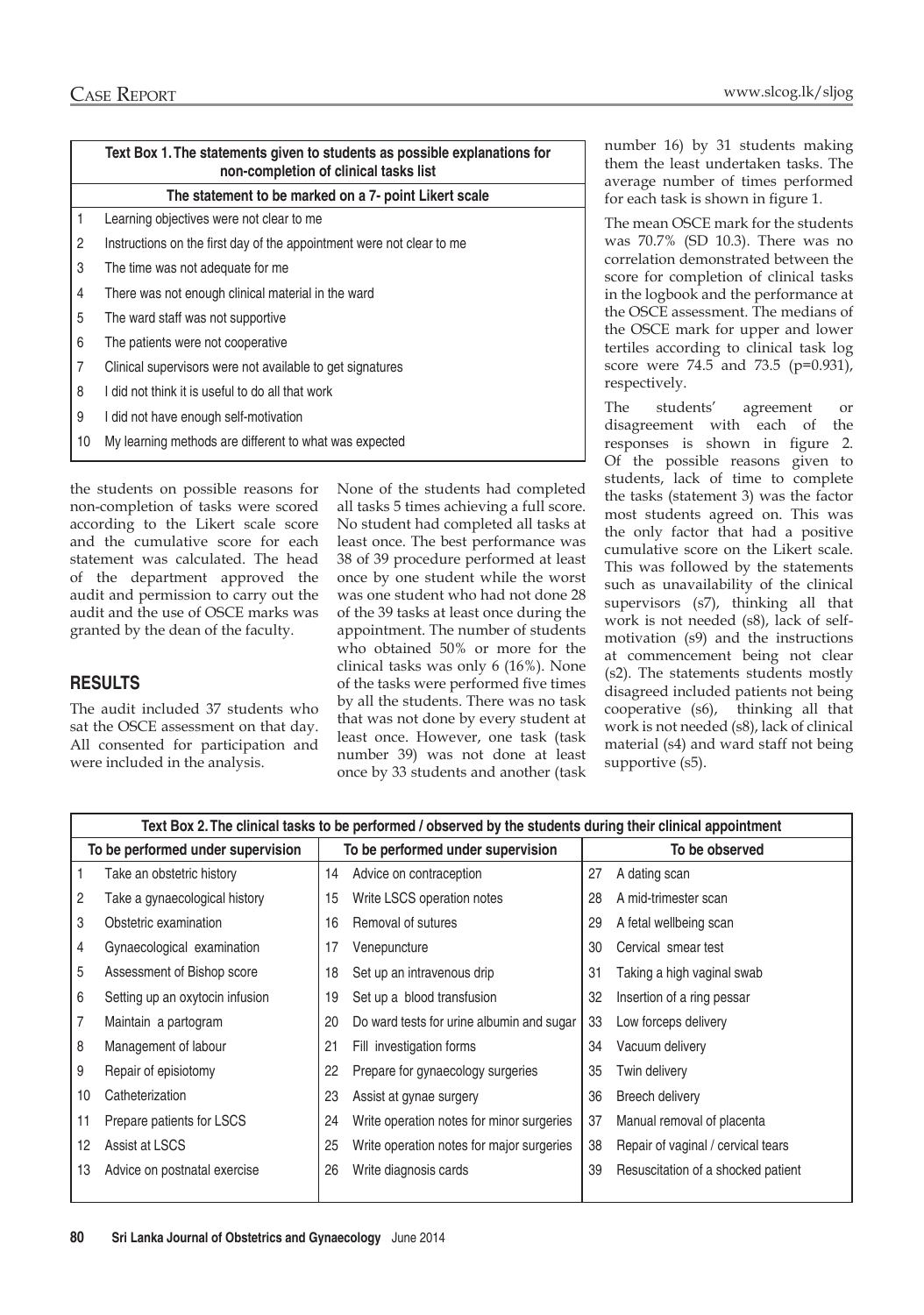|                                                       | Text Box 1. The statements given to students as possible explanations for<br>non-completion of clinical tasks list |  |  |  |  |  |  |
|-------------------------------------------------------|--------------------------------------------------------------------------------------------------------------------|--|--|--|--|--|--|
| The statement to be marked on a 7- point Likert scale |                                                                                                                    |  |  |  |  |  |  |
| 1                                                     | Learning objectives were not clear to me                                                                           |  |  |  |  |  |  |
| $\overline{2}$                                        | Instructions on the first day of the appointment were not clear to me                                              |  |  |  |  |  |  |
| 3                                                     | The time was not adequate for me                                                                                   |  |  |  |  |  |  |
| 4                                                     | There was not enough clinical material in the ward                                                                 |  |  |  |  |  |  |
| 5                                                     | The ward staff was not supportive                                                                                  |  |  |  |  |  |  |
| 6                                                     | The patients were not cooperative                                                                                  |  |  |  |  |  |  |
| $\overline{7}$                                        | Clinical supervisors were not available to get signatures                                                          |  |  |  |  |  |  |
| 8                                                     | I did not think it is useful to do all that work                                                                   |  |  |  |  |  |  |
| 9                                                     | I did not have enough self-motivation                                                                              |  |  |  |  |  |  |
| 10                                                    | My learning methods are different to what was expected                                                             |  |  |  |  |  |  |
|                                                       |                                                                                                                    |  |  |  |  |  |  |

the students on possible reasons for non-completion of tasks were scored according to the Likert scale score and the cumulative score for each statement was calculated. The head of the department approved the audit and permission to carry out the audit and the use of OSCE marks was granted by the dean of the faculty.

## **Results**

The audit included 37 students who sat the OSCE assessment on that day. All consented for participation and were included in the analysis.

None of the students had completed all tasks 5 times achieving a full score. No student had completed all tasks at least once. The best performance was 38 of 39 procedure performed at least once by one student while the worst was one student who had not done 28 of the 39 tasks at least once during the appointment. The number of students who obtained 50% or more for the clinical tasks was only 6 (16%). None of the tasks were performed five times by all the students. There was no task that was not done by every student at least once. However, one task (task number 39) was not done at least once by 33 students and another (task

number 16) by 31 students making them the least undertaken tasks. The average number of times performed for each task is shown in figure 1.

The mean OSCE mark for the students was 70.7% (SD 10.3). There was no correlation demonstrated between the score for completion of clinical tasks in the logbook and the performance at the OSCE assessment. The medians of the OSCE mark for upper and lower tertiles according to clinical task log score were 74.5 and 73.5 (p=0.931), respectively.

The students' agreement or disagreement with each of the responses is shown in figure 2. Of the possible reasons given to students, lack of time to complete the tasks (statement 3) was the factor most students agreed on. This was the only factor that had a positive cumulative score on the Likert scale. This was followed by the statements such as unavailability of the clinical supervisors (s7), thinking all that work is not needed (s8), lack of selfmotivation (s9) and the instructions at commencement being not clear (s2). The statements students mostly disagreed included patients not being cooperative (s6), thinking all that work is not needed (s8), lack of clinical material (s4) and ward staff not being supportive  $(s5)$ .

| Text Box 2. The clinical tasks to be performed / observed by the students during their clinical appointment |                                 |    |                                           |                |                                    |  |  |
|-------------------------------------------------------------------------------------------------------------|---------------------------------|----|-------------------------------------------|----------------|------------------------------------|--|--|
| To be performed under supervision                                                                           |                                 |    | To be performed under supervision         | To be observed |                                    |  |  |
|                                                                                                             | Take an obstetric history       | 14 | Advice on contraception                   | 27             | A dating scan                      |  |  |
| $\overline{c}$                                                                                              | Take a gynaecological history   | 15 | Write LSCS operation notes                | 28             | A mid-trimester scan               |  |  |
| 3                                                                                                           | Obstetric examination           | 16 | Removal of sutures                        | 29             | A fetal wellbeing scan             |  |  |
| 4                                                                                                           | Gynaecological examination      | 17 | Venepuncture                              | 30             | Cervical smear test                |  |  |
| 5                                                                                                           | Assessment of Bishop score      | 18 | Set up an intravenous drip                | 31             | Taking a high vaginal swab         |  |  |
| 6                                                                                                           | Setting up an oxytocin infusion | 19 | Set up a blood transfusion                | 32             | Insertion of a ring pessar         |  |  |
| $\overline{7}$                                                                                              | Maintain a partogram            | 20 | Do ward tests for urine albumin and sugar | 33             | Low forceps delivery               |  |  |
| 8                                                                                                           | Management of labour            | 21 | Fill investigation forms                  | 34             | Vacuum delivery                    |  |  |
| 9                                                                                                           | Repair of episiotomy            | 22 | Prepare for gynaecology surgeries         | 35             | Twin delivery                      |  |  |
| 10                                                                                                          | Catheterization                 | 23 | Assist at gynae surgery                   | 36             | Breech delivery                    |  |  |
| 11                                                                                                          | Prepare patients for LSCS       | 24 | Write operation notes for minor surgeries | 37             | Manual removal of placenta         |  |  |
| 12                                                                                                          | Assist at LSCS                  | 25 | Write operation notes for major surgeries | 38             | Repair of vaginal / cervical tears |  |  |
| 13                                                                                                          | Advice on postnatal exercise    | 26 | Write diagnosis cards                     | 39             | Resuscitation of a shocked patient |  |  |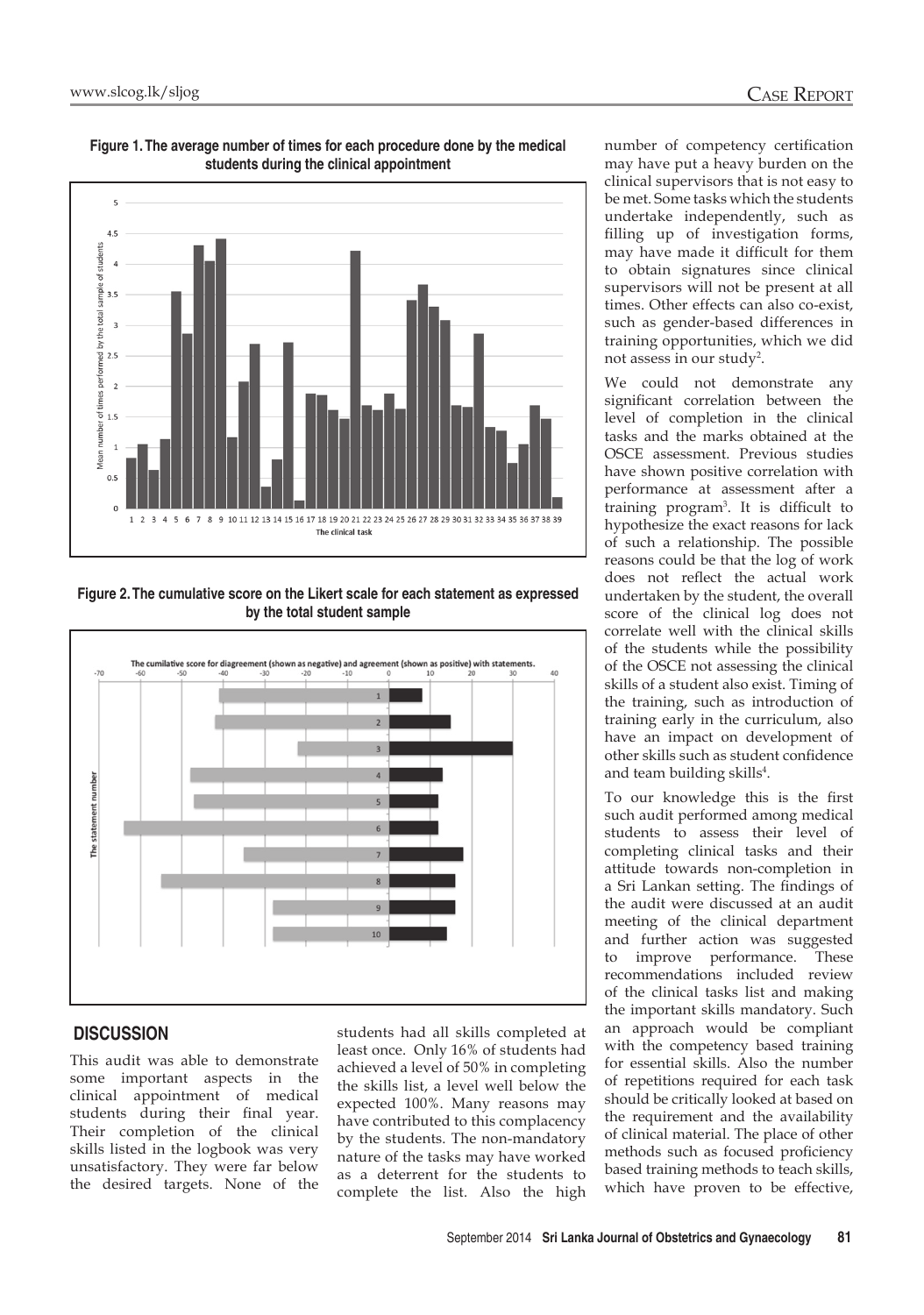

**Figure 1. The average number of times for each procedure done by the medical students during the clinical appointment**

**Figure 2. The cumulative score on the Likert scale for each statement as expressed by the total student sample**



## **Discussion**

This audit was able to demonstrate some important aspects in the clinical appointment of medical students during their final year. Their completion of the clinical skills listed in the logbook was very unsatisfactory. They were far below the desired targets. None of the

students had all skills completed at least once. Only 16% of students had achieved a level of 50% in completing the skills list, a level well below the expected 100%. Many reasons may have contributed to this complacency by the students. The non-mandatory nature of the tasks may have worked as a deterrent for the students to complete the list. Also the high

number of competency certification may have put a heavy burden on the clinical supervisors that is not easy to be met. Some tasks which the students undertake independently, such as filling up of investigation forms, may have made it difficult for them to obtain signatures since clinical supervisors will not be present at all times. Other effects can also co-exist, such as gender-based differences in training opportunities, which we did not assess in our study<sup>2</sup>.

We could not demonstrate any significant correlation between the level of completion in the clinical tasks and the marks obtained at the OSCE assessment. Previous studies have shown positive correlation with performance at assessment after a training program3 . It is difficult to hypothesize the exact reasons for lack of such a relationship. The possible reasons could be that the log of work does not reflect the actual work undertaken by the student, the overall score of the clinical log does not correlate well with the clinical skills of the students while the possibility of the OSCE not assessing the clinical skills of a student also exist. Timing of the training, such as introduction of training early in the curriculum, also have an impact on development of other skills such as student confidence and team building skills<sup>4</sup>.

To our knowledge this is the first such audit performed among medical students to assess their level of completing clinical tasks and their attitude towards non-completion in a Sri Lankan setting. The findings of the audit were discussed at an audit meeting of the clinical department and further action was suggested to improve performance. These recommendations included review of the clinical tasks list and making the important skills mandatory. Such an approach would be compliant with the competency based training for essential skills. Also the number of repetitions required for each task should be critically looked at based on the requirement and the availability of clinical material. The place of other methods such as focused proficiency based training methods to teach skills, which have proven to be effective,